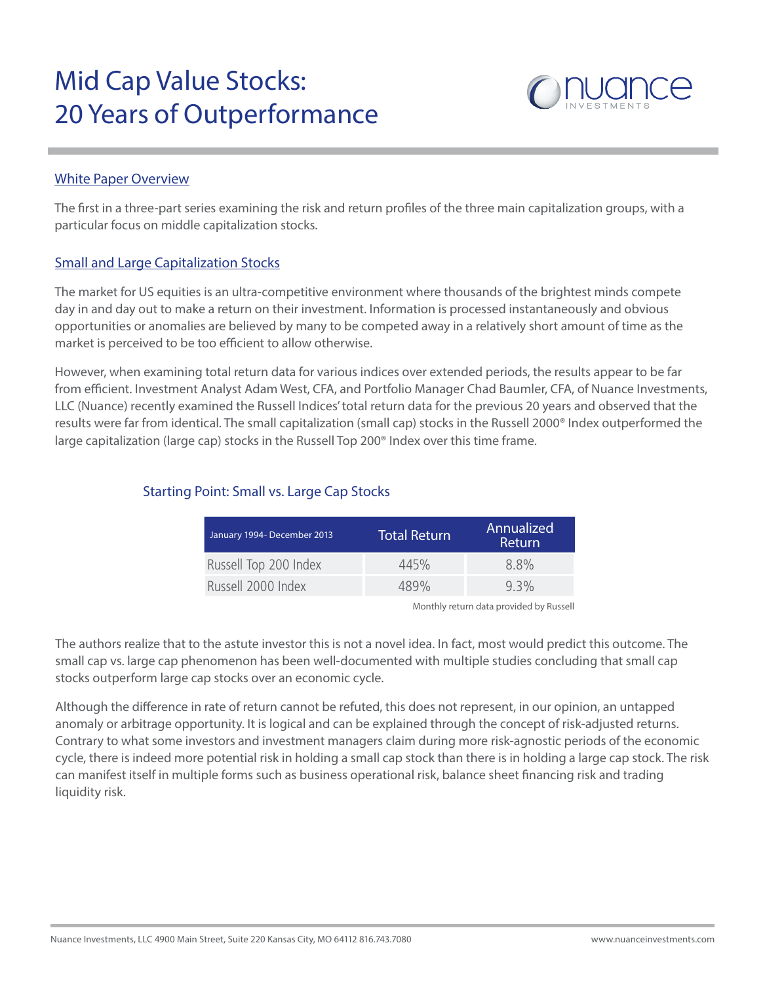# Mid Cap Value Stocks: 20 Years of Outperformance



## White Paper Overview

The first in a three-part series examining the risk and return profiles of the three main capitalization groups, with a particular focus on middle capitalization stocks.

# Small and Large Capitalization Stocks

The market for US equities is an ultra-competitive environment where thousands of the brightest minds compete day in and day out to make a return on their investment. Information is processed instantaneously and obvious opportunities or anomalies are believed by many to be competed away in a relatively short amount of time as the market is perceived to be too efficient to allow otherwise.

However, when examining total return data for various indices over extended periods, the results appear to be far from efficient. Investment Analyst Adam West, CFA, and Portfolio Manager Chad Baumler, CFA, of Nuance Investments, LLC (Nuance) recently examined the Russell Indices' total return data for the previous 20 years and observed that the results were far from identical. The small capitalization (small cap) stocks in the Russell 2000® Index outperformed the large capitalization (large cap) stocks in the Russell Top 200® Index over this time frame.

| January 1994- December 2013 | <b>Total Return</b> | Annualized<br><b>Return</b> |
|-----------------------------|---------------------|-----------------------------|
| Russell Top 200 Index       | 445%                | $8.8\%$                     |
| Russell 2000 Index          | 489%                | $9.3\%$                     |

# Starting Point: Small vs. Large Cap Stocks

Monthly return data provided by Russell

The authors realize that to the astute investor this is not a novel idea. In fact, most would predict this outcome. The small cap vs. large cap phenomenon has been well-documented with multiple studies concluding that small cap stocks outperform large cap stocks over an economic cycle.

Although the difference in rate of return cannot be refuted, this does not represent, in our opinion, an untapped anomaly or arbitrage opportunity. It is logical and can be explained through the concept of risk-adjusted returns. Contrary to what some investors and investment managers claim during more risk-agnostic periods of the economic cycle, there is indeed more potential risk in holding a small cap stock than there is in holding a large cap stock. The risk can manifest itself in multiple forms such as business operational risk, balance sheet financing risk and trading liquidity risk.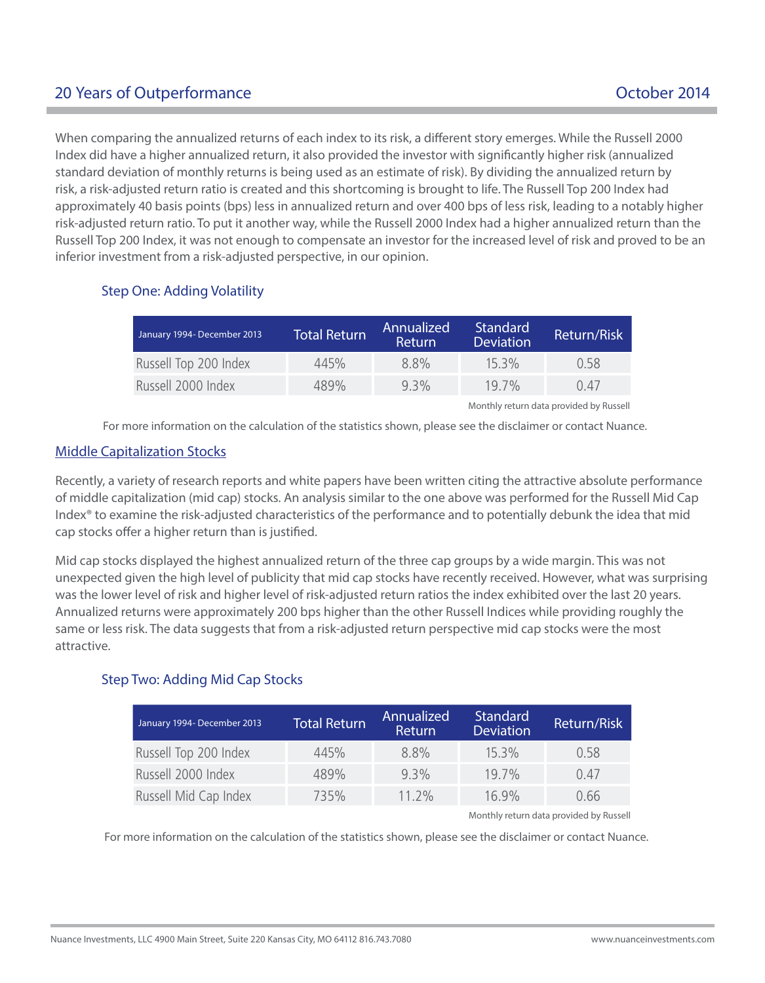# 20 Years of Outperformance **October 2014**

When comparing the annualized returns of each index to its risk, a different story emerges. While the Russell 2000 Index did have a higher annualized return, it also provided the investor with significantly higher risk (annualized standard deviation of monthly returns is being used as an estimate of risk). By dividing the annualized return by risk, a risk-adjusted return ratio is created and this shortcoming is brought to life. The Russell Top 200 Index had approximately 40 basis points (bps) less in annualized return and over 400 bps of less risk, leading to a notably higher risk-adjusted return ratio. To put it another way, while the Russell 2000 Index had a higher annualized return than the Russell Top 200 Index, it was not enough to compensate an investor for the increased level of risk and proved to be an inferior investment from a risk-adjusted perspective, in our opinion.

# Step One: Adding Volatility

| January 1994- December 2013 | <b>Total Return</b> | Annualized <sup>1</sup><br><b>Return</b> | Standard<br><b>Deviation</b> | Return/Risk |
|-----------------------------|---------------------|------------------------------------------|------------------------------|-------------|
| Russell Top 200 Index       | 445%                | $8.8\%$                                  | $15.3\%$                     | 0.58        |
| Russell 2000 Index          | 489%                | $9.3\%$                                  | $19.7\%$                     | 0.47        |

Monthly return data provided by Russell

For more information on the calculation of the statistics shown, please see the disclaimer or contact Nuance.

### Middle Capitalization Stocks

Recently, a variety of research reports and white papers have been written citing the attractive absolute performance of middle capitalization (mid cap) stocks. An analysis similar to the one above was performed for the Russell Mid Cap Index® to examine the risk-adjusted characteristics of the performance and to potentially debunk the idea that mid cap stocks offer a higher return than is justified.

Mid cap stocks displayed the highest annualized return of the three cap groups by a wide margin. This was not unexpected given the high level of publicity that mid cap stocks have recently received. However, what was surprising was the lower level of risk and higher level of risk-adjusted return ratios the index exhibited over the last 20 years. Annualized returns were approximately 200 bps higher than the other Russell Indices while providing roughly the same or less risk. The data suggests that from a risk-adjusted return perspective mid cap stocks were the most attractive.

## Step Two: Adding Mid Cap Stocks

| January 1994- December 2013 | Total Return <sup>1</sup> | Annualized<br><b>Return</b> | <b>Standard</b><br><b>Deviation</b> | Return/Risk |
|-----------------------------|---------------------------|-----------------------------|-------------------------------------|-------------|
| Russell Top 200 Index       | 445%                      | 8.8%                        | $15.3\%$                            | 0.58        |
| Russell 2000 Index          | 489%                      | $9.3\%$                     | $19.7\%$                            | 0.47        |
| Russell Mid Cap Index       | 735%                      | $11.2\%$                    | $16.9\%$                            | 0.66        |

Monthly return data provided by Russell

For more information on the calculation of the statistics shown, please see the disclaimer or contact Nuance.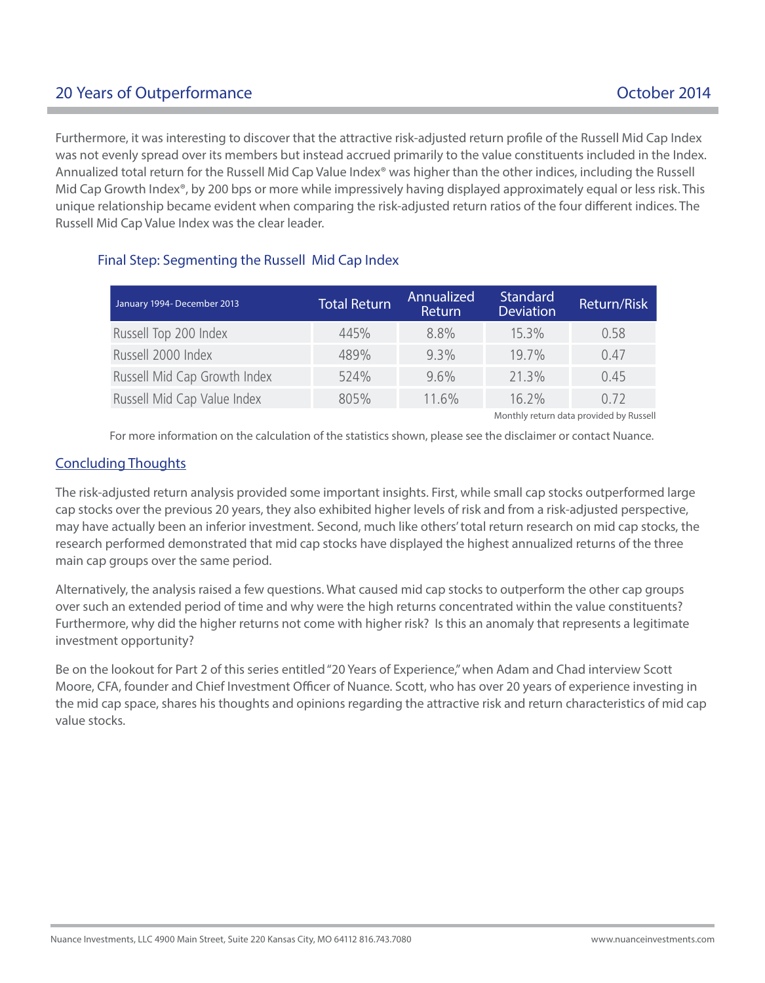# 20 Years of Outperformance **Department Controller Controller Controller Controller Controller Controller Controller Controller Controller Controller Controller Controller Controller Controller Controller Controller Control**

Furthermore, it was interesting to discover that the attractive risk-adjusted return profile of the Russell Mid Cap Index was not evenly spread over its members but instead accrued primarily to the value constituents included in the Index. Annualized total return for the Russell Mid Cap Value Index® was higher than the other indices, including the Russell Mid Cap Growth Index®, by 200 bps or more while impressively having displayed approximately equal or less risk. This unique relationship became evident when comparing the risk-adjusted return ratios of the four different indices. The Russell Mid Cap Value Index was the clear leader.

| January 1994- December 2013  | <b>Total Return</b> | Annualized<br>Return | <b>Standard</b><br><b>Deviation</b> | Return/Risk |
|------------------------------|---------------------|----------------------|-------------------------------------|-------------|
| Russell Top 200 Index        | 445%                | 8.8%                 | $15.3\%$                            | 0.58        |
| Russell 2000 Index           | 489%                | $9.3\%$              | 19.7%                               | 0.47        |
| Russell Mid Cap Growth Index | 524%                | $9.6\%$              | 21.3%                               | 0.45        |
| Russell Mid Cap Value Index  | 805%                | $11.6\%$             | 16.2%                               | 0.72        |

# Final Step: Segmenting the Russell Mid Cap Index

Monthly return data provided by Russell

For more information on the calculation of the statistics shown, please see the disclaimer or contact Nuance.

### Concluding Thoughts

The risk-adjusted return analysis provided some important insights. First, while small cap stocks outperformed large cap stocks over the previous 20 years, they also exhibited higher levels of risk and from a risk-adjusted perspective, may have actually been an inferior investment. Second, much like others' total return research on mid cap stocks, the research performed demonstrated that mid cap stocks have displayed the highest annualized returns of the three main cap groups over the same period.

Alternatively, the analysis raised a few questions. What caused mid cap stocks to outperform the other cap groups over such an extended period of time and why were the high returns concentrated within the value constituents? Furthermore, why did the higher returns not come with higher risk? Is this an anomaly that represents a legitimate investment opportunity?

Be on the lookout for Part 2 of this series entitled "20 Years of Experience," when Adam and Chad interview Scott Moore, CFA, founder and Chief Investment Officer of Nuance. Scott, who has over 20 years of experience investing in the mid cap space, shares his thoughts and opinions regarding the attractive risk and return characteristics of mid cap value stocks.